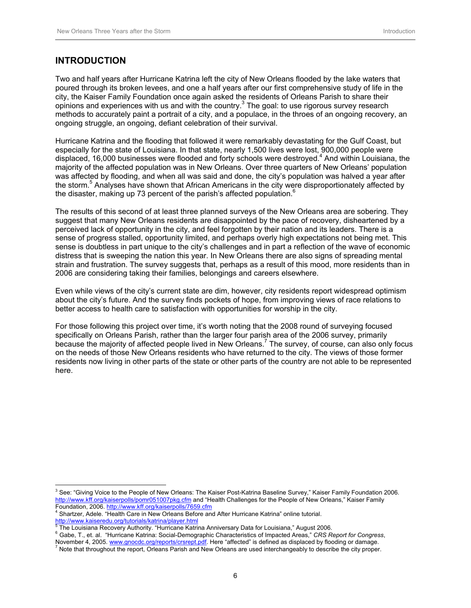## **INTRODUCTION**

Two and half years after Hurricane Katrina left the city of New Orleans flooded by the lake waters that poured through its broken levees, and one a half years after our first comprehensive study of life in the city, the Kaiser Family Foundation once again asked the residents of Orleans Parish to share their opinions and experiences with us and with the country. $3$  The goal: to use rigorous survey research methods to accurately paint a portrait of a city, and a populace, in the throes of an ongoing recovery, an ongoing struggle, an ongoing, defiant celebration of their survival.

Hurricane Katrina and the flooding that followed it were remarkably devastating for the Gulf Coast, but especially for the state of Louisiana. In that state, nearly 1,500 lives were lost, 900,000 people were displaced, 16,000 businesses were flooded and forty schools were destroyed.<sup>4</sup> And within Louisiana, the majority of the affected population was in New Orleans. Over three quarters of New Orleans' population was affected by flooding, and when all was said and done, the city's population was halved a year after the storm.<sup>5</sup> Analyses have shown that African Americans in the city were disproportionately affected by the disaster, making up 73 percent of the parish's affected population.<sup>6</sup>

The results of this second of at least three planned surveys of the New Orleans area are sobering. They suggest that many New Orleans residents are disappointed by the pace of recovery, disheartened by a perceived lack of opportunity in the city, and feel forgotten by their nation and its leaders. There is a sense of progress stalled, opportunity limited, and perhaps overly high expectations not being met. This sense is doubtless in part unique to the city's challenges and in part a reflection of the wave of economic distress that is sweeping the nation this year. In New Orleans there are also signs of spreading mental strain and frustration. The survey suggests that, perhaps as a result of this mood, more residents than in 2006 are considering taking their families, belongings and careers elsewhere.

Even while views of the city's current state are dim, however, city residents report widespread optimism about the city's future. And the survey finds pockets of hope, from improving views of race relations to better access to health care to satisfaction with opportunities for worship in the city.

For those following this project over time, it's worth noting that the 2008 round of surveying focused specifically on Orleans Parish, rather than the larger four parish area of the 2006 survey, primarily because the majority of affected people lived in New Orleans.<sup>7</sup> The survey, of course, can also only focus on the needs of those New Orleans residents who have returned to the city. The views of those former residents now living in other parts of the state or other parts of the country are not able to be represented here.

<sup>4</sup> Shartzer, Adele. "Health Care in New Orleans Before and After Hurricane Katrina" online tutorial.

http://www.kaiseredu.org/tutorials/katrina/player.html

 $\overline{a}$ 

<sup>&</sup>lt;sup>3</sup> See: "Giving Voice to the People of New Orleans: The Kaiser Post-Katrina Baseline Survey," Kaiser Family Foundation 2006. http://www.kff.org/kaiserpolls/pomr051007pkg.cfm and "Health Challenges for the People of New Orleans," Kaiser Family Foundation, 2006. http://www.kff.org/kaiserpolls/7659.cfm <sup>4</sup>

<sup>5</sup> The Louisiana Recovery Authority. "Hurricane Katrina Anniversary Data for Louisiana," August 2006. <sup>6</sup> Gabe, T., et. al. "Hurricane Katrina: Social-Demographic Characteristics of Impacted Areas," CRS Report for Congress,

November 4, 2005. www.gnocdc.org/reports/crsrept.pdf. Here "affected" is defined as displaced by flooding or damage.

Note that throughout the report, Orleans Parish and New Orleans are used interchangeably to describe the city proper.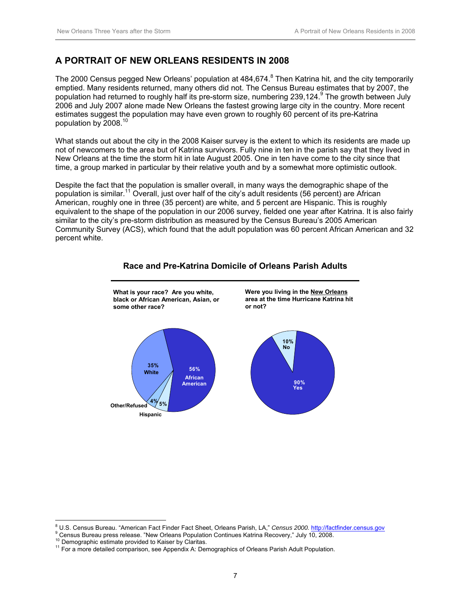## **A PORTRAIT OF NEW ORLEANS RESIDENTS IN 2008**

The 2000 Census pegged New Orleans' population at 484,674.<sup>8</sup> Then Katrina hit, and the city temporarily emptied. Many residents returned, many others did not. The Census Bureau estimates that by 2007, the population had returned to roughly half its pre-storm size, numbering 239,124.<sup>9</sup> The growth between July 2006 and July 2007 alone made New Orleans the fastest growing large city in the country. More recent estimates suggest the population may have even grown to roughly 60 percent of its pre-Katrina population by 2008.<sup>10</sup>

What stands out about the city in the 2008 Kaiser survey is the extent to which its residents are made up not of newcomers to the area but of Katrina survivors. Fully nine in ten in the parish say that they lived in New Orleans at the time the storm hit in late August 2005. One in ten have come to the city since that time, a group marked in particular by their relative youth and by a somewhat more optimistic outlook.

Despite the fact that the population is smaller overall, in many ways the demographic shape of the population is similar.11 Overall, just over half of the city's adult residents (56 percent) are African American, roughly one in three (35 percent) are white, and 5 percent are Hispanic. This is roughly equivalent to the shape of the population in our 2006 survey, fielded one year after Katrina. It is also fairly similar to the city's pre-storm distribution as measured by the Census Bureau's 2005 American Community Survey (ACS), which found that the adult population was 60 percent African American and 32 percent white.



#### **Race and Pre-Katrina Domicile of Orleans Parish Adults**

 $\overline{a}$ 

<sup>&</sup>lt;sup>8</sup> U.S. Census Bureau. "American Fact Finder Fact Sheet, Orleans Parish, LA," *Census 2000.* http://factfinder.census.gov<br>9 Census Bureau nrees releges, "Nau Orleans Benulation Centinues Ketring Benusny," July 19, 2008

<sup>&</sup>lt;sup>9</sup> Census Bureau press release. "New Orleans Population Continues Katrina Recovery," July 10, 2008.<br><sup>10</sup> Demographic estimate provided to Kaiser by Claritas.<br><sup>11</sup> For a more detailed comparison, see Appendix A: Demographi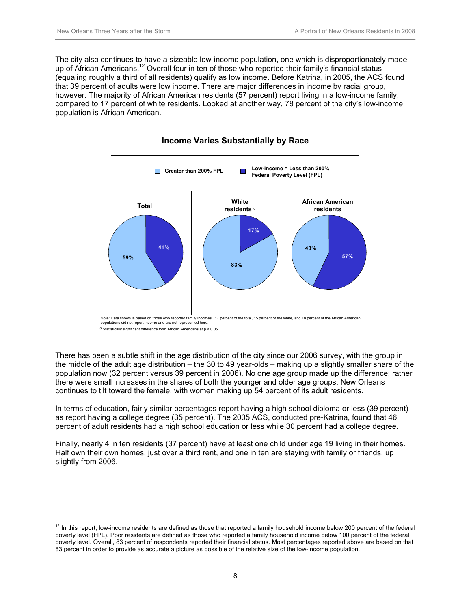The city also continues to have a sizeable low-income population, one which is disproportionately made up of African Americans.<sup>12</sup> Overall four in ten of those who reported their family's financial status (equaling roughly a third of all residents) qualify as low income. Before Katrina, in 2005, the ACS found that 39 percent of adults were low income. There are major differences in income by racial group, however. The majority of African American residents (57 percent) report living in a low-income family, compared to 17 percent of white residents. Looked at another way, 78 percent of the city's low-income population is African American.





<sup>α</sup> Statistically significant difference from African Americans at p < 0.05

 $\overline{a}$ 

There has been a subtle shift in the age distribution of the city since our 2006 survey, with the group in the middle of the adult age distribution – the 30 to 49 year-olds – making up a slightly smaller share of the population now (32 percent versus 39 percent in 2006). No one age group made up the difference; rather there were small increases in the shares of both the younger and older age groups. New Orleans continues to tilt toward the female, with women making up 54 percent of its adult residents.

In terms of education, fairly similar percentages report having a high school diploma or less (39 percent) as report having a college degree (35 percent). The 2005 ACS, conducted pre-Katrina, found that 46 percent of adult residents had a high school education or less while 30 percent had a college degree.

Finally, nearly 4 in ten residents (37 percent) have at least one child under age 19 living in their homes. Half own their own homes, just over a third rent, and one in ten are staying with family or friends, up slightly from 2006.

 $12$  In this report, low-income residents are defined as those that reported a family household income below 200 percent of the federal poverty level (FPL). Poor residents are defined as those who reported a family household income below 100 percent of the federal poverty level. Overall, 83 percent of respondents reported their financial status. Most percentages reported above are based on that 83 percent in order to provide as accurate a picture as possible of the relative size of the low-income population.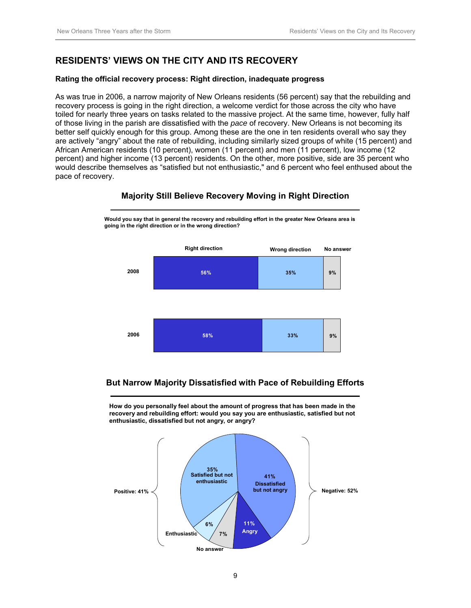# **RESIDENTS' VIEWS ON THE CITY AND ITS RECOVERY**

**going in the right direction or in the wrong direction?**

#### **Rating the official recovery process: Right direction, inadequate progress**

As was true in 2006, a narrow majority of New Orleans residents (56 percent) say that the rebuilding and recovery process is going in the right direction, a welcome verdict for those across the city who have toiled for nearly three years on tasks related to the massive project. At the same time, however, fully half of those living in the parish are dissatisfied with the *pace* of recovery. New Orleans is not becoming its better self quickly enough for this group. Among these are the one in ten residents overall who say they are actively "angry" about the rate of rebuilding, including similarly sized groups of white (15 percent) and African American residents (10 percent), women (11 percent) and men (11 percent), low income (12 percent) and higher income (13 percent) residents. On the other, more positive, side are 35 percent who would describe themselves as "satisfied but not enthusiastic," and 6 percent who feel enthused about the pace of recovery.



#### **Majority Still Believe Recovery Moving in Right Direction**

**Would you say that in general the recovery and rebuilding effort in the greater New Orleans area is** 

## **But Narrow Majority Dissatisfied with Pace of Rebuilding Efforts**

**How do you personally feel about the amount of progress that has been made in the recovery and rebuilding effort: would you say you are enthusiastic, satisfied but not enthusiastic, dissatisfied but not angry, or angry?**

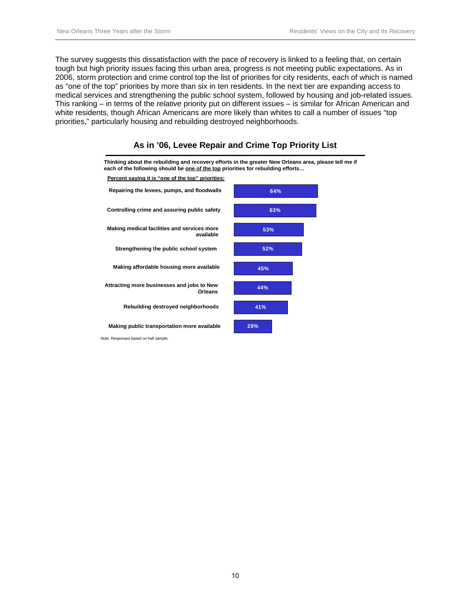The survey suggests this dissatisfaction with the pace of recovery is linked to a feeling that, on certain tough but high priority issues facing this urban area, progress is not meeting public expectations. As in 2006, storm protection and crime control top the list of priorities for city residents, each of which is named as "one of the top" priorities by more than six in ten residents. In the next tier are expanding access to medical services and strengthening the public school system, followed by housing and job-related issues. This ranking – in terms of the *relative* priority put on different issues – is similar for African American and white residents, though African Americans are more likely than whites to call a number of issues "top priorities," particularly housing and rebuilding destroyed neighborhoods.



#### **As in '06, Levee Repair and Crime Top Priority List**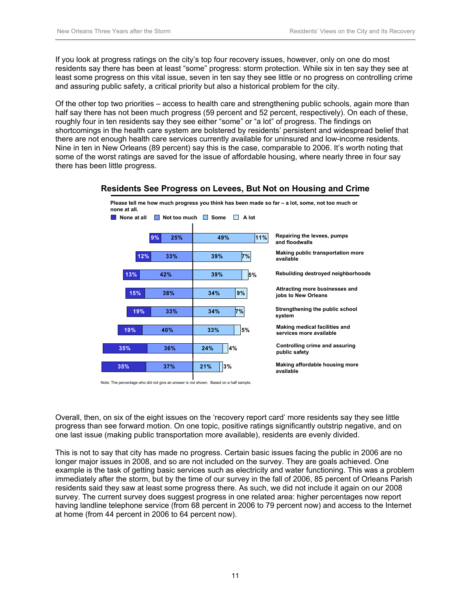If you look at progress ratings on the city's top four recovery issues, however, only on one do most residents say there has been at least "some" progress: storm protection. While six in ten say they see at least some progress on this vital issue, seven in ten say they see little or no progress on controlling crime and assuring public safety, a critical priority but also a historical problem for the city.

Of the other top two priorities – access to health care and strengthening public schools, again more than half say there has not been much progress (59 percent and 52 percent, respectively). On each of these, roughly four in ten residents say they see either "some" or "a lot" of progress. The findings on shortcomings in the health care system are bolstered by residents' persistent and widespread belief that there are not enough health care services currently available for uninsured and low-income residents. Nine in ten in New Orleans (89 percent) say this is the case, comparable to 2006. It's worth noting that some of the worst ratings are saved for the issue of affordable housing, where nearly three in four say there has been little progress.



#### **Residents See Progress on Levees, But Not on Housing and Crime**

Note: The percentage who did not give an answer is not shown. Based on a half sample.

Overall, then, on six of the eight issues on the 'recovery report card' more residents say they see little progress than see forward motion. On one topic, positive ratings significantly outstrip negative, and on one last issue (making public transportation more available), residents are evenly divided.

This is not to say that city has made no progress. Certain basic issues facing the public in 2006 are no longer major issues in 2008, and so are not included on the survey. They are goals achieved. One example is the task of getting basic services such as electricity and water functioning. This was a problem immediately after the storm, but by the time of our survey in the fall of 2006, 85 percent of Orleans Parish residents said they saw at least some progress there. As such, we did not include it again on our 2008 survey. The current survey does suggest progress in one related area: higher percentages now report having landline telephone service (from 68 percent in 2006 to 79 percent now) and access to the Internet at home (from 44 percent in 2006 to 64 percent now).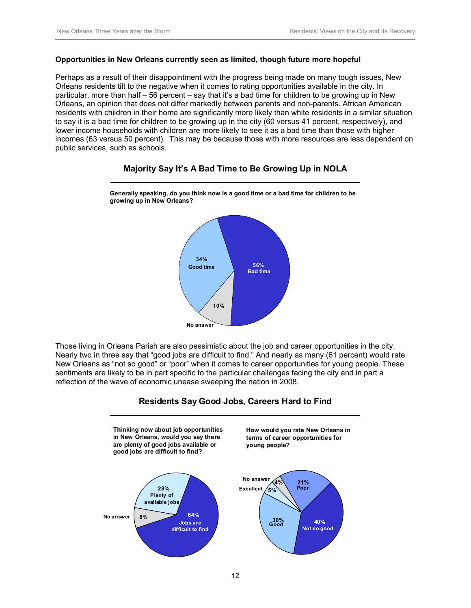#### **Opportunities in New Orleans currently seen as limited, though future more hopeful**

Perhaps as a result of their disappointment with the progress being made on many tough issues, New Orleans residents tilt to the negative when it comes to rating opportunities available in the city. In particular, more than half – 56 percent – say that it's a bad time for children to be growing up in New Orleans, an opinion that does not differ markedly between parents and non-parents. African American residents with children in their home are significantly more likely than white residents in a similar situation to say it is a bad time for children to be growing up in the city (60 versus 41 percent, respectively), and lower income households with children are more likely to see it as a bad time than those with higher incomes (63 versus 50 percent). This may be because those with more resources are less dependent on public services, such as schools.

### **Majority Say It's A Bad Time to Be Growing Up in NOLA**



**Generally speaking, do you think now is a good time or a bad time for children to be growing up in New Orleans?**

Those living in Orleans Parish are also pessimistic about the job and career opportunities in the city. Nearly two in three say that "good jobs are difficult to find." And nearly as many (61 percent) would rate New Orleans as "not so good" or "poor" when it comes to career opportunities for young people. These sentiments are likely to be in part specific to the particular challenges facing the city and in part a reflection of the wave of economic unease sweeping the nation in 2008.



#### **Residents Say Good Jobs, Careers Hard to Find**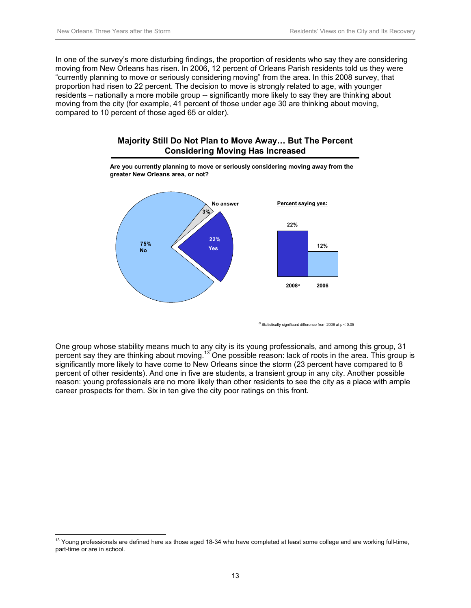In one of the survey's more disturbing findings, the proportion of residents who say they are considering moving from New Orleans has risen. In 2006, 12 percent of Orleans Parish residents told us they were "currently planning to move or seriously considering moving" from the area. In this 2008 survey, that proportion had risen to 22 percent. The decision to move is strongly related to age, with younger residents – nationally a more mobile group -- significantly more likely to say they are thinking about moving from the city (for example, 41 percent of those under age 30 are thinking about moving, compared to 10 percent of those aged 65 or older).



#### **Majority Still Do Not Plan to Move Away… But The Percent Considering Moving Has Increased**

<sup>α</sup> Statistically significant difference from 2006 at p < 0.05

One group whose stability means much to any city is its young professionals, and among this group, 31 percent say they are thinking about moving.<sup>13</sup> One possible reason: lack of roots in the area. This group is significantly more likely to have come to New Orleans since the storm (23 percent have compared to 8 percent of other residents). And one in five are students, a transient group in any city. Another possible reason: young professionals are no more likely than other residents to see the city as a place with ample career prospects for them. Six in ten give the city poor ratings on this front.

 $\overline{a}$  $13$  Young professionals are defined here as those aged 18-34 who have completed at least some college and are working full-time, part-time or are in school.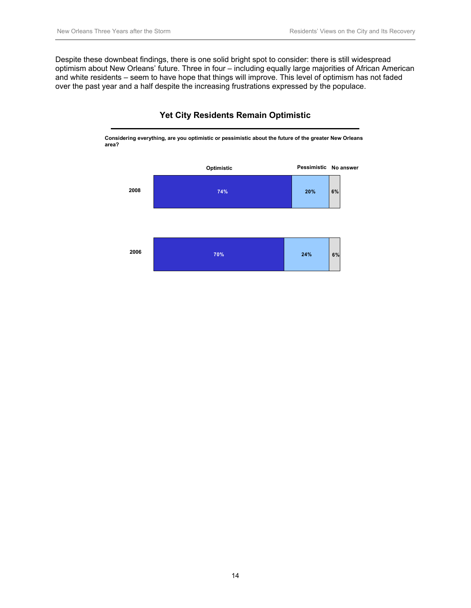Despite these downbeat findings, there is one solid bright spot to consider: there is still widespread optimism about New Orleans' future. Three in four – including equally large majorities of African American and white residents – seem to have hope that things will improve. This level of optimism has not faded over the past year and a half despite the increasing frustrations expressed by the populace.



### **Yet City Residents Remain Optimistic**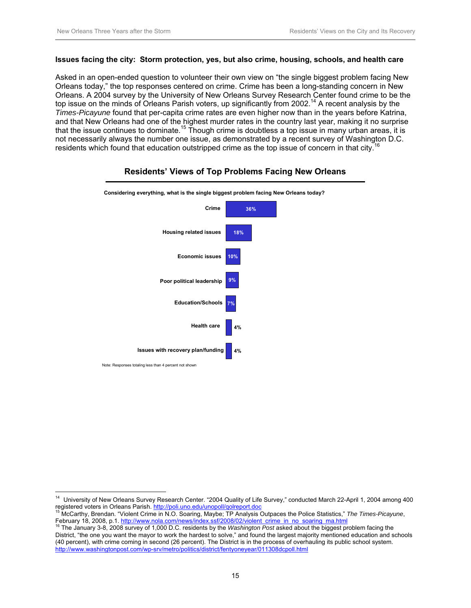$\overline{a}$ 

#### **Issues facing the city: Storm protection, yes, but also crime, housing, schools, and health care**

Asked in an open-ended question to volunteer their own view on "the single biggest problem facing New Orleans today," the top responses centered on crime. Crime has been a long-standing concern in New Orleans. A 2004 survey by the University of New Orleans Survey Research Center found crime to be the top issue on the minds of Orleans Parish voters, up significantly from  $2002<sup>14</sup>$  A recent analysis by the *Times-Picayune* found that per-capita crime rates are even higher now than in the years before Katrina, and that New Orleans had one of the highest murder rates in the country last year, making it no surprise that the issue continues to dominate.<sup>15</sup> Though crime is doubtless a top issue in many urban areas, it is not necessarily always the number one issue, as demonstrated by a recent survey of Washington D.C. residents which found that education outstripped crime as the top issue of concern in that city.<sup>1</sup>



#### **Residents' Views of Top Problems Facing New Orleans**

<sup>14</sup> University of New Orleans Survey Research Center. "2004 Quality of Life Survey," conducted March 22-April 1, 2004 among 400

registered voters in Orleans Parish. http://poli.uno.edu/unopoll/qolreport.doc<br>
<sup>15</sup> McCarthy, Brendan. "Violent Crime in N.O. Soaring, Maybe; TP Analysis Outpaces the Police Statistics," *The Times-Picayune*,<br>
February 18

The January 3-8, 2008 survey of 1,000 D.C. residents by the Washington Post asked about the biggest problem facing the District, "the one you want the mayor to work the hardest to solve," and found the largest majority mentioned education and schools (40 percent), with crime coming in second (26 percent). The District is in the process of overhauling its public school system. http://www.washingtonpost.com/wp-srv/metro/politics/district/fentyoneyear/011308dcpoll.html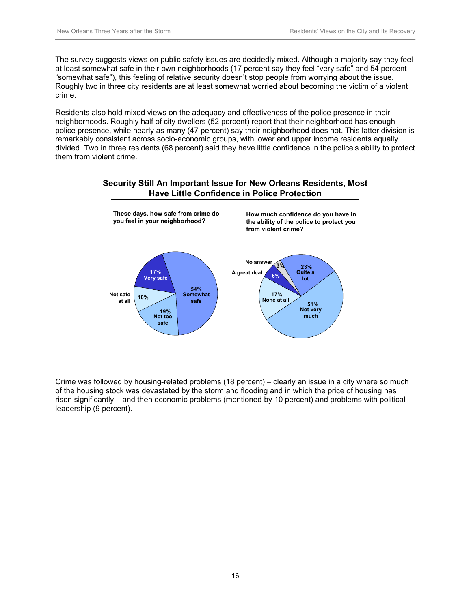The survey suggests views on public safety issues are decidedly mixed. Although a majority say they feel at least somewhat safe in their own neighborhoods (17 percent say they feel "very safe" and 54 percent "somewhat safe"), this feeling of relative security doesn't stop people from worrying about the issue. Roughly two in three city residents are at least somewhat worried about becoming the victim of a violent crime.

Residents also hold mixed views on the adequacy and effectiveness of the police presence in their neighborhoods. Roughly half of city dwellers (52 percent) report that their neighborhood has enough police presence, while nearly as many (47 percent) say their neighborhood does not. This latter division is remarkably consistent across socio-economic groups, with lower and upper income residents equally divided. Two in three residents (68 percent) said they have little confidence in the police's ability to protect them from violent crime.





Crime was followed by housing-related problems (18 percent) – clearly an issue in a city where so much of the housing stock was devastated by the storm and flooding and in which the price of housing has risen significantly – and then economic problems (mentioned by 10 percent) and problems with political leadership (9 percent).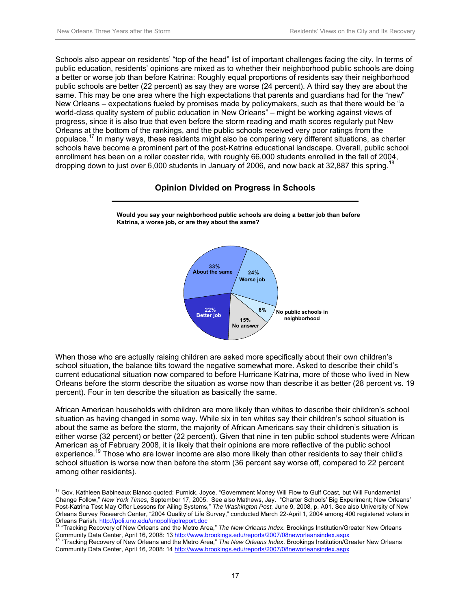$\overline{a}$ 

Schools also appear on residents' "top of the head" list of important challenges facing the city. In terms of public education, residents' opinions are mixed as to whether their neighborhood public schools are doing a better or worse job than before Katrina: Roughly equal proportions of residents say their neighborhood public schools are better (22 percent) as say they are worse (24 percent). A third say they are about the same. This may be one area where the high expectations that parents and guardians had for the "new" New Orleans – expectations fueled by promises made by policymakers, such as that there would be "a world-class quality system of public education in New Orleans" – might be working against views of progress, since it is also true that even before the storm reading and math scores regularly put New Orleans at the bottom of the rankings, and the public schools received very poor ratings from the populace.17 In many ways, these residents might also be comparing very different situations, as charter schools have become a prominent part of the post-Katrina educational landscape. Overall, public school enrollment has been on a roller coaster ride, with roughly 66,000 students enrolled in the fall of 2004, dropping down to just over 6,000 students in January of 2006, and now back at 32,887 this spring.<sup>18</sup>

#### **Opinion Divided on Progress in Schools**



**Would you say your neighborhood public schools are doing a better job than before Katrina, a worse job, or are they about the same?**

When those who are actually raising children are asked more specifically about their own children's school situation, the balance tilts toward the negative somewhat more. Asked to describe their child's current educational situation now compared to before Hurricane Katrina, more of those who lived in New Orleans before the storm describe the situation as worse now than describe it as better (28 percent vs. 19 percent). Four in ten describe the situation as basically the same.

African American households with children are more likely than whites to describe their children's school situation as having changed in some way. While six in ten whites say their children's school situation is about the same as before the storm, the majority of African Americans say their children's situation is either worse (32 percent) or better (22 percent). Given that nine in ten public school students were African American as of February 2008, it is likely that their opinions are more reflective of the public school experience.<sup>19</sup> Those who are lower income are also more likely than other residents to say their child's school situation is worse now than before the storm (36 percent say worse off, compared to 22 percent among other residents).

<sup>&</sup>lt;sup>17</sup> Gov. Kathleen Babineaux Blanco quoted: Purnick, Joyce. "Government Money Will Flow to Gulf Coast, but Will Fundamental Change Follow," *New York Times*, September 17, 2005. See also Mathews, Jay. "Charter Schools' Big Experiment; New Orleans' Post-Katrina Test May Offer Lessons for Ailing Systems," *The Washington Post,* June 9, 2008, p. A01. See also University of New Orleans Survey Research Center, "2004 Quality of Life Survey," conducted March 22-April 1, 2004 among 400 registered voters in

Orleans Parish. http://poli.uno.edu/unopoll/qolreport.doc 18 "Tracking Recovery of New Orleans and the Metro Area," *The New Orleans Index*. Brookings Institution/Greater New Orleans Community Data Center, April 16, 2008: 13 http://www.brookings.edu/reports/2007/08neworleansindex.aspx<br><sup>19</sup> "Tracking Recovery of New Orleans and the Metro Area," The New Orleans Index. Brookings Institution/Greater New Or

Community Data Center, April 16, 2008: 14 http://www.brookings.edu/reports/2007/08neworleansindex.aspx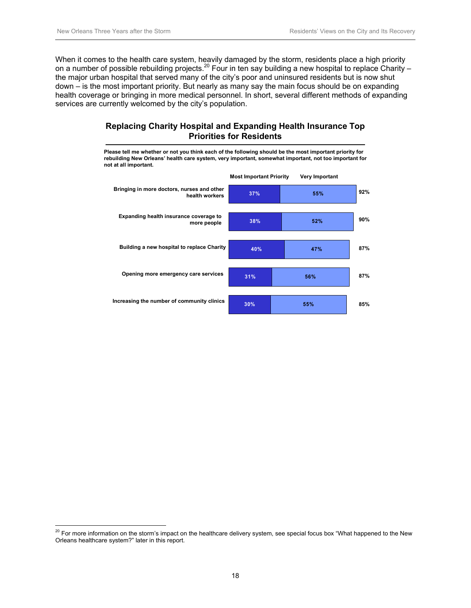$\overline{a}$ 

When it comes to the health care system, heavily damaged by the storm, residents place a high priority on a number of possible rebuilding projects.<sup>20</sup> Four in ten say building a new hospital to replace Charity – the major urban hospital that served many of the city's poor and uninsured residents but is now shut down – is the most important priority. But nearly as many say the main focus should be on expanding health coverage or bringing in more medical personnel. In short, several different methods of expanding services are currently welcomed by the city's population.

### **Replacing Charity Hospital and Expanding Health Insurance Top Priorities for Residents**

**Please tell me whether or not you think each of the following should be the most important priority for rebuilding New Orleans' health care system, very important, somewhat important, not too important for not at all important.**



 $^{20}$  For more information on the storm's impact on the healthcare delivery system, see special focus box "What happened to the New Orleans healthcare system?" later in this report.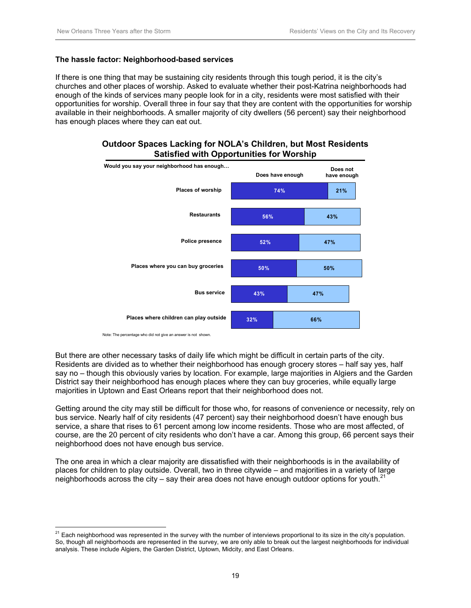#### **The hassle factor: Neighborhood-based services**

If there is one thing that may be sustaining city residents through this tough period, it is the city's churches and other places of worship. Asked to evaluate whether their post-Katrina neighborhoods had enough of the kinds of services many people look for in a city, residents were most satisfied with their opportunities for worship. Overall three in four say that they are content with the opportunities for worship available in their neighborhoods. A smaller majority of city dwellers (56 percent) say their neighborhood has enough places where they can eat out.





Note: The percentage who did not give an answer is not shown.

 $\overline{a}$ 

But there are other necessary tasks of daily life which might be difficult in certain parts of the city. Residents are divided as to whether their neighborhood has enough grocery stores – half say yes, half say no – though this obviously varies by location. For example, large majorities in Algiers and the Garden District say their neighborhood has enough places where they can buy groceries, while equally large majorities in Uptown and East Orleans report that their neighborhood does not.

Getting around the city may still be difficult for those who, for reasons of convenience or necessity, rely on bus service. Nearly half of city residents (47 percent) say their neighborhood doesn't have enough bus service, a share that rises to 61 percent among low income residents. Those who are most affected, of course, are the 20 percent of city residents who don't have a car. Among this group, 66 percent says their neighborhood does not have enough bus service.

The one area in which a clear majority are dissatisfied with their neighborhoods is in the availability of places for children to play outside. Overall, two in three citywide – and majorities in a variety of large neighborhoods across the city – say their area does not have enough outdoor options for youth.<sup>21</sup>

 $^{21}$  Each neighborhood was represented in the survey with the number of interviews proportional to its size in the city's population. So, though all neighborhoods are represented in the survey, we are only able to break out the largest neighborhoods for individual analysis. These include Algiers, the Garden District, Uptown, Midcity, and East Orleans.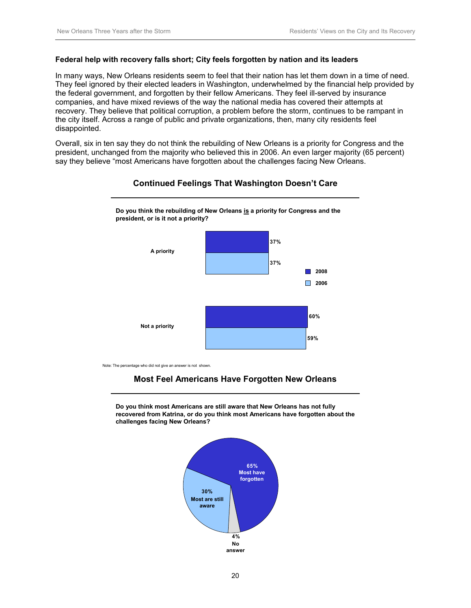#### **Federal help with recovery falls short; City feels forgotten by nation and its leaders**

In many ways, New Orleans residents seem to feel that their nation has let them down in a time of need. They feel ignored by their elected leaders in Washington, underwhelmed by the financial help provided by the federal government, and forgotten by their fellow Americans. They feel ill-served by insurance companies, and have mixed reviews of the way the national media has covered their attempts at recovery. They believe that political corruption, a problem before the storm, continues to be rampant in the city itself. Across a range of public and private organizations, then, many city residents feel disappointed.

Overall, six in ten say they do not think the rebuilding of New Orleans is a priority for Congress and the president, unchanged from the majority who believed this in 2006. An even larger majority (65 percent) say they believe "most Americans have forgotten about the challenges facing New Orleans.



#### **Continued Feelings That Washington Doesn't Care**

Note: The percentage who did not give an answer is not shown.

## **Most Feel Americans Have Forgotten New Orleans**

**Do you think most Americans are still aware that New Orleans has not fully recovered from Katrina, or do you think most Americans have forgotten about the challenges facing New Orleans?**

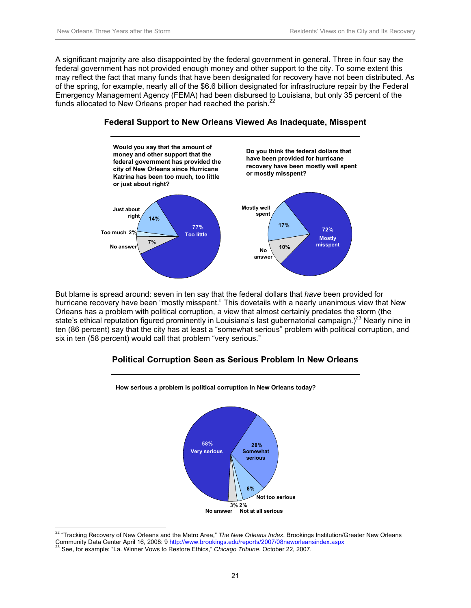A significant majority are also disappointed by the federal government in general. Three in four say the federal government has not provided enough money and other support to the city. To some extent this may reflect the fact that many funds that have been designated for recovery have not been distributed. As of the spring, for example, nearly all of the \$6.6 billion designated for infrastructure repair by the Federal Emergency Management Agency (FEMA) had been disbursed to Louisiana, but only 35 percent of the funds allocated to New Orleans proper had reached the parish. $<sup>2</sup>$ </sup>



**Federal Support to New Orleans Viewed As Inadequate, Misspent**

But blame is spread around: seven in ten say that the federal dollars that *have* been provided for hurricane recovery have been "mostly misspent." This dovetails with a nearly unanimous view that New Orleans has a problem with political corruption, a view that almost certainly predates the storm (the state's ethical reputation figured prominently in Louisiana's last gubernatorial campaign.)<sup>23</sup> Nearly nine in ten (86 percent) say that the city has at least a "somewhat serious" problem with political corruption, and six in ten (58 percent) would call that problem "very serious."

## **Political Corruption Seen as Serious Problem In New Orleans**





 $\overline{a}$ 22 "Tracking Recovery of New Orleans and the Metro Area," *The New Orleans Index*. Brookings Institution/Greater New Orleans Community Data Center April 16, 2008: 9 http://www.brookings.edu/reports/2007/08neworleansindex.aspx <sup>23</sup> See, for example: "La. Winner Vows to Restore Ethics," *Chicago Tribune*, October 22, 2007.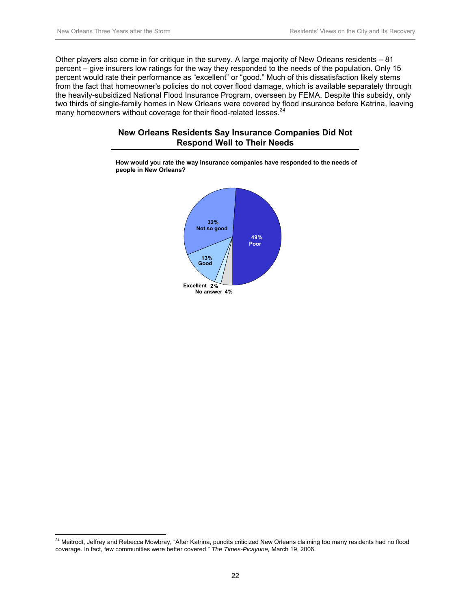$\overline{a}$ 

Other players also come in for critique in the survey. A large majority of New Orleans residents – 81 percent – give insurers low ratings for the way they responded to the needs of the population. Only 15 percent would rate their performance as "excellent" or "good." Much of this dissatisfaction likely stems from the fact that homeowner's policies do not cover flood damage, which is available separately through the heavily-subsidized National Flood Insurance Program, overseen by FEMA. Despite this subsidy, only two thirds of single-family homes in New Orleans were covered by flood insurance before Katrina, leaving many homeowners without coverage for their flood-related losses.<sup>24</sup>

### **New Orleans Residents Say Insurance Companies Did Not Respond Well to Their Needs**



**How would you rate the way insurance companies have responded to the needs of people in New Orleans?**

 $^{24}$  Meitrodt, Jeffrey and Rebecca Mowbray, "After Katrina, pundits criticized New Orleans claiming too many residents had no flood coverage. In fact, few communities were better covered." *The Times-Picayune,* March 19, 2006.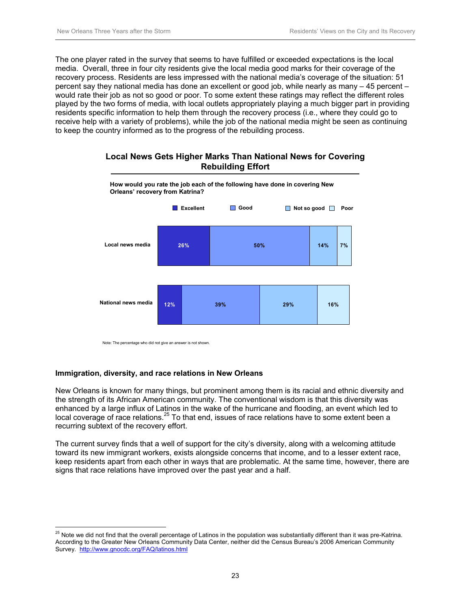The one player rated in the survey that seems to have fulfilled or exceeded expectations is the local media. Overall, three in four city residents give the local media good marks for their coverage of the recovery process. Residents are less impressed with the national media's coverage of the situation: 51 percent say they national media has done an excellent or good job, while nearly as many – 45 percent – would rate their job as not so good or poor. To some extent these ratings may reflect the different roles played by the two forms of media, with local outlets appropriately playing a much bigger part in providing residents specific information to help them through the recovery process (i.e., where they could go to receive help with a variety of problems), while the job of the national media might be seen as continuing to keep the country informed as to the progress of the rebuilding process.

### **Local News Gets Higher Marks Than National News for Covering Rebuilding Effort**



Note: The percentage who did not give an answer is not shown.

#### **Immigration, diversity, and race relations in New Orleans**

 $\overline{a}$ 

New Orleans is known for many things, but prominent among them is its racial and ethnic diversity and the strength of its African American community. The conventional wisdom is that this diversity was enhanced by a large influx of Latinos in the wake of the hurricane and flooding, an event which led to  $\alpha$  local coverage of race relations.<sup>25</sup> To that end, issues of race relations have to some extent been a recurring subtext of the recovery effort.

The current survey finds that a well of support for the city's diversity, along with a welcoming attitude toward its new immigrant workers, exists alongside concerns that income, and to a lesser extent race, keep residents apart from each other in ways that are problematic. At the same time, however, there are signs that race relations have improved over the past year and a half.

 $^{25}$  Note we did not find that the overall percentage of Latinos in the population was substantially different than it was pre-Katrina. According to the Greater New Orleans Community Data Center, neither did the Census Bureau's 2006 American Community Survey. http://www.gnocdc.org/FAQ/latinos.html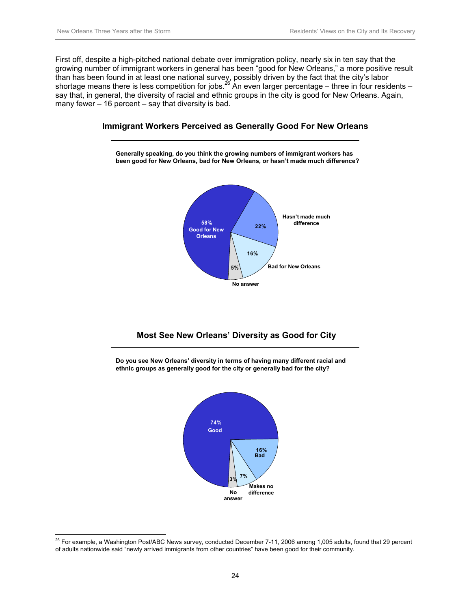First off, despite a high-pitched national debate over immigration policy, nearly six in ten say that the growing number of immigrant workers in general has been "good for New Orleans," a more positive result than has been found in at least one national survey, possibly driven by the fact that the city's labor shortage means there is less competition for jobs.<sup>26</sup> An even larger percentage – three in four residents – say that, in general, the diversity of racial and ethnic groups in the city is good for New Orleans. Again, many fewer – 16 percent – say that diversity is bad.



## **Immigrant Workers Perceived as Generally Good For New Orleans**

## **Most See New Orleans' Diversity as Good for City**

**Do you see New Orleans' diversity in terms of having many different racial and ethnic groups as generally good for the city or generally bad for the city?**



 $\overline{a}$  $^{26}$  For example, a Washington Post/ABC News survey, conducted December 7-11, 2006 among 1,005 adults, found that 29 percent of adults nationwide said "newly arrived immigrants from other countries" have been good for their community.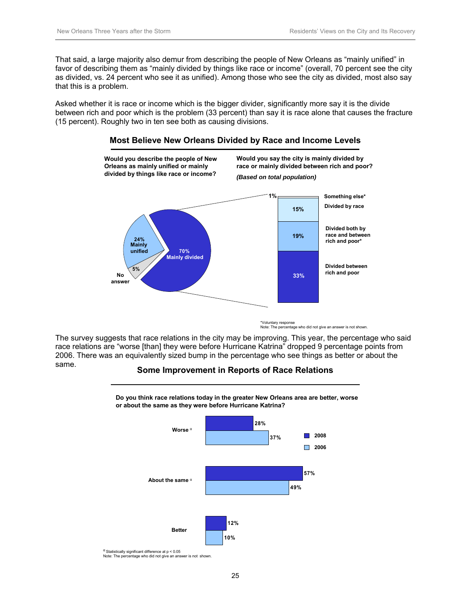That said, a large majority also demur from describing the people of New Orleans as "mainly unified" in favor of describing them as "mainly divided by things like race or income" (overall, 70 percent see the city as divided, vs. 24 percent who see it as unified). Among those who see the city as divided, most also say that this is a problem.

Asked whether it is race or income which is the bigger divider, significantly more say it is the divide between rich and poor which is the problem (33 percent) than say it is race alone that causes the fracture (15 percent). Roughly two in ten see both as causing divisions.



#### **Most Believe New Orleans Divided by Race and Income Levels**

\*Voluntary response Note: The percentage who did not give an answer is not shown.

The survey suggests that race relations in the city may be improving. This year, the percentage who said race relations are "worse [than] they were before Hurricane Katrina" dropped 9 percentage points from 2006. There was an equivalently sized bump in the percentage who see things as better or about the same.

#### **Some Improvement in Reports of Race Relations**



Note: The percentage who did not give an answer is not shown.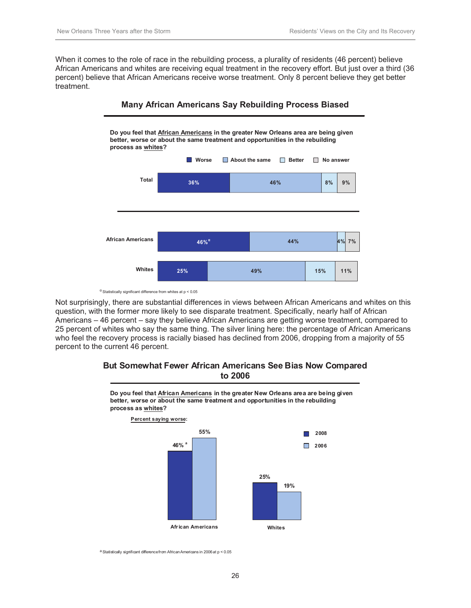When it comes to the role of race in the rebuilding process, a plurality of residents (46 percent) believe African Americans and whites are receiving equal treatment in the recovery effort. But just over a third (36 percent) believe that African Americans receive worse treatment. Only 8 percent believe they get better treatment.





Not surprisingly, there are substantial differences in views between African Americans and whites on this question, with the former more likely to see disparate treatment. Specifically, nearly half of African Americans – 46 percent – say they believe African Americans are getting worse treatment, compared to 25 percent of whites who say the same thing. The silver lining here: the percentage of African Americans who feel the recovery process is racially biased has declined from 2006, dropping from a majority of 55 percent to the current 46 percent.

#### **But Somewhat Fewer African Americans See Bias Now Compared to 2006**



**Do you feel that African Americans in the greater New Orleans area are being given better, worse or about the same treatment and opportunities in the rebuilding process as whites?**

<sup>a</sup> Statistically significant difference from African Americans in 2006 at p < 0.05

 $\alpha$  Statistically significant difference from whites at  $p < 0.05$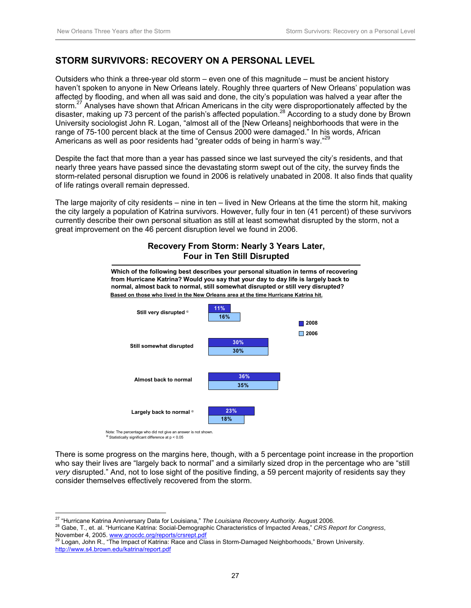## **STORM SURVIVORS: RECOVERY ON A PERSONAL LEVEL**

Outsiders who think a three-year old storm – even one of this magnitude – must be ancient history haven't spoken to anyone in New Orleans lately. Roughly three quarters of New Orleans' population was affected by flooding, and when all was said and done, the city's population was halved a year after the storm.<sup>27</sup> Analyses have shown that African Americans in the city were disproportionately affected by the disaster, making up 73 percent of the parish's affected population.<sup>28</sup> According to a study done by Brown University sociologist John R. Logan, "almost all of the [New Orleans] neighborhoods that were in the range of 75-100 percent black at the time of Census 2000 were damaged." In his words, African Americans as well as poor residents had "greater odds of being in harm's way."<sup>29</sup>

Despite the fact that more than a year has passed since we last surveyed the city's residents, and that nearly three years have passed since the devastating storm swept out of the city, the survey finds the storm-related personal disruption we found in 2006 is relatively unabated in 2008. It also finds that quality of life ratings overall remain depressed.

The large majority of city residents – nine in ten – lived in New Orleans at the time the storm hit, making the city largely a population of Katrina survivors. However, fully four in ten (41 percent) of these survivors currently describe their own personal situation as still at least somewhat disrupted by the storm, not a great improvement on the 46 percent disruption level we found in 2006.

**Recovery From Storm: Nearly 3 Years Later,** 



 $a$  Statistically significant difference at  $p < 0.05$ 

There is some progress on the margins here, though, with a 5 percentage point increase in the proportion who say their lives are "largely back to normal" and a similarly sized drop in the percentage who are "still *very* disrupted." And, not to lose sight of the positive finding, a 59 percent majority of residents say they consider themselves effectively recovered from the storm.

<sup>&</sup>lt;sup>27</sup> "Hurricane Katrina Anniversary Data for Louisiana," The Louisiana Recovery Authority. August 2006.

<sup>&</sup>lt;sup>28</sup> Gabe, T., et. al. "Hurricane Katrina: Social-Demographic Characteristics of Impacted Areas," CRS Report for Congress, November 4, 2005. www.gnocdc.org/reports/crsrept.pdf<br><sup>29</sup> Logan, John R., "The Impact of Katrina: Race and Class in Storm-Damaged Neighborhoods," Brown University.

http://www.s4.brown.edu/katrina/report.pdf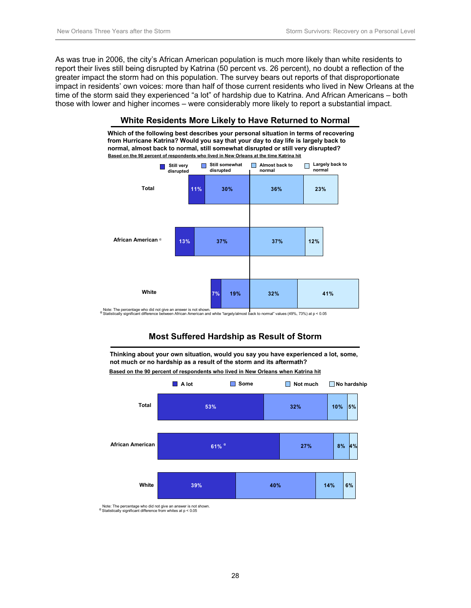As was true in 2006, the city's African American population is much more likely than white residents to report their lives still being disrupted by Katrina (50 percent vs. 26 percent), no doubt a reflection of the greater impact the storm had on this population. The survey bears out reports of that disproportionate impact in residents' own voices: more than half of those current residents who lived in New Orleans at the time of the storm said they experienced "a lot" of hardship due to Katrina. And African Americans – both those with lower and higher incomes – were considerably more likely to report a substantial impact.



#### **White Residents More Likely to Have Returned to Normal**

Note: The percentage who did not give an answer is not shown.<br><sup>α</sup> Statistically significant difference between African American and white "largely/almost back to normal" values (49%, 73%) at p < 0.05

## **Most Suffered Hardship as Result of Storm**

**Thinking about your own situation, would you say you have experienced a lot, some, not much or no hardship as a result of the storm and its aftermath?**



**Based on the 90 percent of respondents who lived in New Orleans when Katrina hit**

Note: The percentage who did not give an answer is not shown.<br>  $\alpha$  Statistically significant difference from whites at  $p < 0.05$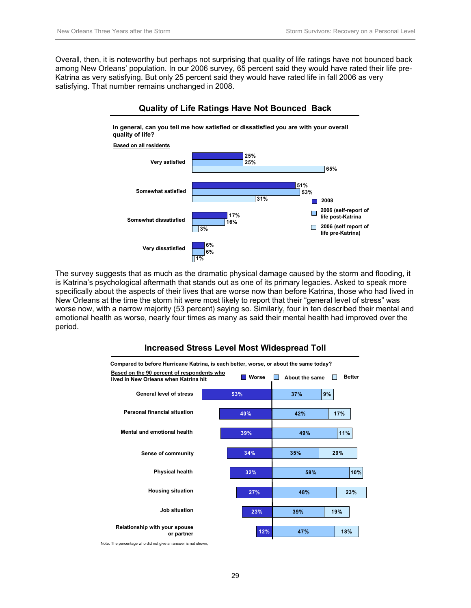Overall, then, it is noteworthy but perhaps not surprising that quality of life ratings have not bounced back among New Orleans' population. In our 2006 survey, 65 percent said they would have rated their life pre-Katrina as very satisfying. But only 25 percent said they would have rated life in fall 2006 as very satisfying. That number remains unchanged in 2008.



#### The survey suggests that as much as the dramatic physical damage caused by the storm and flooding, it is Katrina's psychological aftermath that stands out as one of its primary legacies. Asked to speak more specifically about the aspects of their lives that are worse now than before Katrina, those who had lived in New Orleans at the time the storm hit were most likely to report that their "general level of stress" was worse now, with a narrow majority (53 percent) saying so. Similarly, four in ten described their mental and emotional health as worse, nearly four times as many as said their mental health had improved over the period.



## **Increased Stress Level Most Widespread Toll**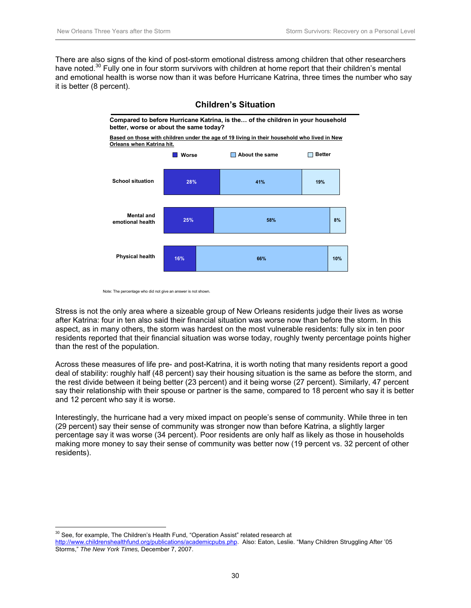There are also signs of the kind of post-storm emotional distress among children that other researchers have noted.<sup>30</sup> Fully one in four storm survivors with children at home report that their children's mental and emotional health is worse now than it was before Hurricane Katrina, three times the number who say it is better (8 percent).



#### **Children's Situation**

Stress is not the only area where a sizeable group of New Orleans residents judge their lives as worse after Katrina: four in ten also said their financial situation was worse now than before the storm. In this aspect, as in many others, the storm was hardest on the most vulnerable residents: fully six in ten poor residents reported that their financial situation was worse today, roughly twenty percentage points higher than the rest of the population.

Across these measures of life pre- and post-Katrina, it is worth noting that many residents report a good deal of stability: roughly half (48 percent) say their housing situation is the same as before the storm, and the rest divide between it being better (23 percent) and it being worse (27 percent). Similarly, 47 percent say their relationship with their spouse or partner is the same, compared to 18 percent who say it is better and 12 percent who say it is worse.

Interestingly, the hurricane had a very mixed impact on people's sense of community. While three in ten (29 percent) say their sense of community was stronger now than before Katrina, a slightly larger percentage say it was worse (34 percent). Poor residents are only half as likely as those in households making more money to say their sense of community was better now (19 percent vs. 32 percent of other residents).

 $\overline{a}$ 

Note: The percentage who did not give an answer is not shown.

<sup>&</sup>lt;sup>30</sup> See, for example, The Children's Health Fund, "Operation Assist" related research at

http://www.childrenshealthfund.org/publications/academicpubs.php. Also: Eaton, Leslie. "Many Children Struggling After '05 Storms," *The New York Times,* December 7, 2007.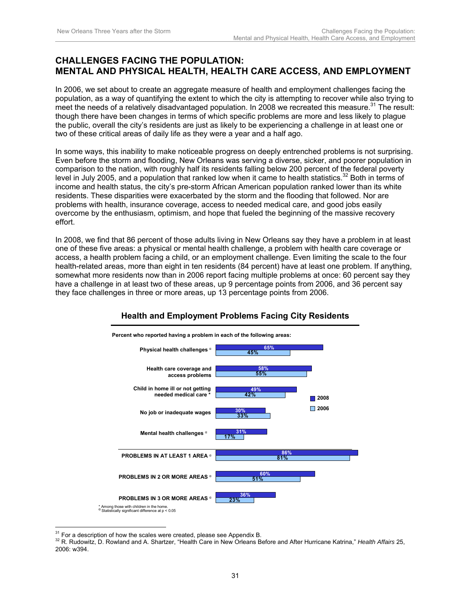## **CHALLENGES FACING THE POPULATION: MENTAL AND PHYSICAL HEALTH, HEALTH CARE ACCESS, AND EMPLOYMENT**

In 2006, we set about to create an aggregate measure of health and employment challenges facing the population, as a way of quantifying the extent to which the city is attempting to recover while also trying to meet the needs of a relatively disadvantaged population. In 2008 we recreated this measure.<sup>31</sup> The result: though there have been changes in terms of which specific problems are more and less likely to plague the public, overall the city's residents are just as likely to be experiencing a challenge in at least one or two of these critical areas of daily life as they were a year and a half ago.

In some ways, this inability to make noticeable progress on deeply entrenched problems is not surprising. Even before the storm and flooding, New Orleans was serving a diverse, sicker, and poorer population in comparison to the nation, with roughly half its residents falling below 200 percent of the federal poverty level in July 2005, and a population that ranked low when it came to health statistics.<sup>32</sup> Both in terms of income and health status, the city's pre-storm African American population ranked lower than its white residents. These disparities were exacerbated by the storm and the flooding that followed. Nor are problems with health, insurance coverage, access to needed medical care, and good jobs easily overcome by the enthusiasm, optimism, and hope that fueled the beginning of the massive recovery effort.

In 2008, we find that 86 percent of those adults living in New Orleans say they have a problem in at least one of these five areas: a physical or mental health challenge, a problem with health care coverage or access, a health problem facing a child, or an employment challenge. Even limiting the scale to the four health-related areas, more than eight in ten residents (84 percent) have at least one problem. If anything, somewhat more residents now than in 2006 report facing multiple problems at once: 60 percent say they have a challenge in at least two of these areas, up 9 percentage points from 2006, and 36 percent say they face challenges in three or more areas, up 13 percentage points from 2006.



## **Health and Employment Problems Facing City Residents**

<sup>&</sup>lt;sup>31</sup> For a description of how the scales were created, please see Appendix B.

<sup>&</sup>lt;sup>32</sup> R. Rudowitz, D. Rowland and A. Shartzer, "Health Care in New Orleans Before and After Hurricane Katrina," *Health Affairs* 25, 2006: w394.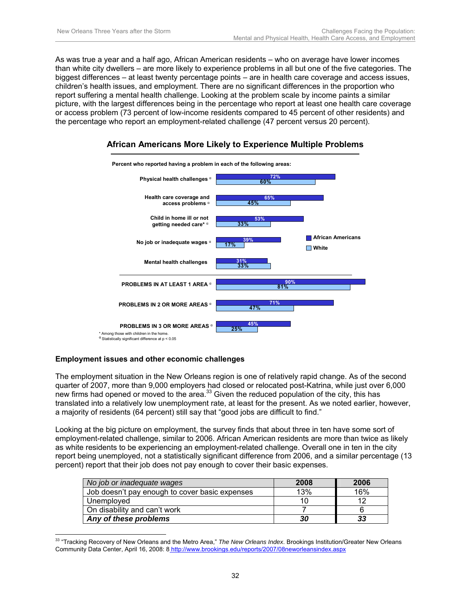As was true a year and a half ago, African American residents – who on average have lower incomes than white city dwellers – are more likely to experience problems in all but one of the five categories. The biggest differences – at least twenty percentage points – are in health care coverage and access issues, children's health issues, and employment. There are no significant differences in the proportion who report suffering a mental health challenge. Looking at the problem scale by income paints a similar picture, with the largest differences being in the percentage who report at least one health care coverage or access problem (73 percent of low-income residents compared to 45 percent of other residents) and the percentage who report an employment-related challenge (47 percent versus 20 percent).



### **African Americans More Likely to Experience Multiple Problems**

#### **Employment issues and other economic challenges**

The employment situation in the New Orleans region is one of relatively rapid change. As of the second quarter of 2007, more than 9,000 employers had closed or relocated post-Katrina, while just over 6,000 new firms had opened or moved to the area. $33$  Given the reduced population of the city, this has translated into a relatively low unemployment rate, at least for the present. As we noted earlier, however, a majority of residents (64 percent) still say that "good jobs are difficult to find."

Looking at the big picture on employment, the survey finds that about three in ten have some sort of employment-related challenge, similar to 2006. African American residents are more than twice as likely as white residents to be experiencing an employment-related challenge. Overall one in ten in the city report being unemployed, not a statistically significant difference from 2006, and a similar percentage (13 percent) report that their job does not pay enough to cover their basic expenses.

| No job or inadequate wages                     | 2008 | 2006 |
|------------------------------------------------|------|------|
| Job doesn't pay enough to cover basic expenses | 13%  | 16%  |
| Unemployed                                     | 10   | 10   |
| On disability and can't work                   |      |      |
| Any of these problems                          | 30   | 33   |

 $\overline{a}$ <sup>33</sup> "Tracking Recovery of New Orleans and the Metro Area," *The New Orleans Index*. Brookings Institution/Greater New Orleans Community Data Center, April 16, 2008: 8 http://www.brookings.edu/reports/2007/08neworleansindex.aspx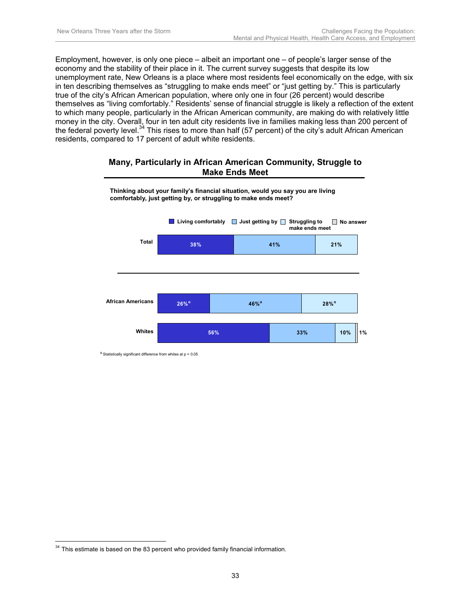Employment, however, is only one piece – albeit an important one – of people's larger sense of the economy and the stability of their place in it. The current survey suggests that despite its low unemployment rate, New Orleans is a place where most residents feel economically on the edge, with six in ten describing themselves as "struggling to make ends meet" or "just getting by." This is particularly true of the city's African American population, where only one in four (26 percent) would describe themselves as "living comfortably." Residents' sense of financial struggle is likely a reflection of the extent to which many people, particularly in the African American community, are making do with relatively little money in the city. Overall, four in ten adult city residents live in families making less than 200 percent of the federal poverty level.<sup>34</sup> This rises to more than half (57 percent) of the city's adult African American residents, compared to 17 percent of adult white residents.

#### **Many, Particularly in African American Community, Struggle to Make Ends Meet**



**Thinking about your family's financial situation, would you say you are living comfortably, just getting by, or struggling to make ends meet?**

 $\alpha$  Statistically significant difference from whites at  $p < 0.05$ 

 $\overline{a}$  $34$  This estimate is based on the 83 percent who provided family financial information.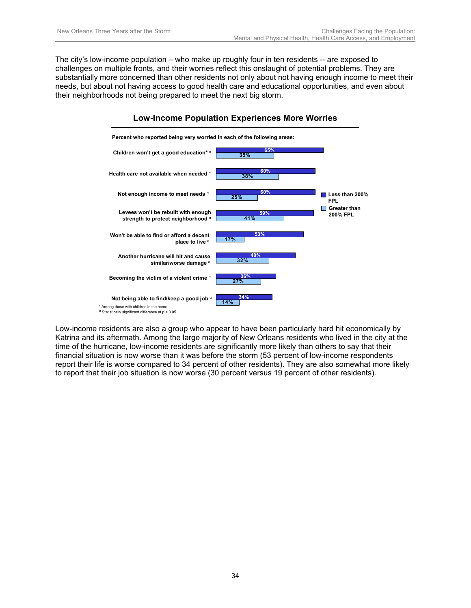The city's low-income population – who make up roughly four in ten residents -- are exposed to challenges on multiple fronts, and their worries reflect this onslaught of potential problems. They are substantially more concerned than other residents not only about not having enough income to meet their needs, but about not having access to good health care and educational opportunities, and even about their neighborhoods not being prepared to meet the next big storm.



Low-income residents are also a group who appear to have been particularly hard hit economically by Katrina and its aftermath. Among the large majority of New Orleans residents who lived in the city at the time of the hurricane, low-income residents are significantly more likely than others to say that their financial situation is now worse than it was before the storm (53 percent of low-income respondents report their life is worse compared to 34 percent of other residents). They are also somewhat more likely to report that their job situation is now worse (30 percent versus 19 percent of other residents).

### **Low-Income Population Experiences More Worries**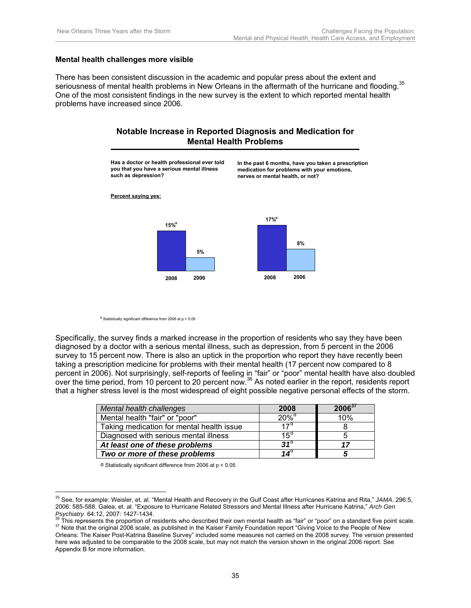#### **Mental health challenges more visible**

There has been consistent discussion in the academic and popular press about the extent and seriousness of mental health problems in New Orleans in the aftermath of the hurricane and flooding.<sup>35</sup> One of the most consistent findings in the new survey is the extent to which reported mental health problems have increased since 2006.

### **Notable Increase in Reported Diagnosis and Medication for Mental Health Problems**

**Has a doctor or health professional ever told you that you have a serious mental illness such as depression? 5% 8% 17%<sup>α</sup> 15%<sup>α</sup> 2008 2006 2008 2006 In the past 6 months, have you taken a prescription medication for problems with your emotions, nerves or mental health, or not? Percent saying yes:**

 $\alpha$  Statistically significant difference from 2006 at p < 0.05

Specifically, the survey finds a marked increase in the proportion of residents who say they have been diagnosed by a doctor with a serious mental illness, such as depression, from 5 percent in the 2006 survey to 15 percent now. There is also an uptick in the proportion who report they have recently been taking a prescription medicine for problems with their mental health (17 percent now compared to 8 percent in 2006). Not surprisingly, self-reports of feeling in "fair" or "poor" mental health have also doubled over the time period, from 10 percent to 20 percent now.<sup>36</sup> As noted earlier in the report, residents report that a higher stress level is the most widespread of eight possible negative personal effects of the storm.

| Mental health challenges                  | 2008                | $2006^{37}$ |
|-------------------------------------------|---------------------|-------------|
| Mental health "fair" or "poor"            | $20\%$ <sup>a</sup> | 10%         |
| Taking medication for mental health issue | $17^{\alpha}$       |             |
| Diagnosed with serious mental illness     | $15^{\alpha}$       |             |
| At least one of these problems            | $31^{\circ}$        | 17          |
| Two or more of these problems             | 14 $^{\circ}$       |             |

α Statistically significant difference from 2006 at p < 0.05

 $\overline{a}$ 35 See, for example: Weisler, et. al. "Mental Health and Recovery in the Gulf Coast after Hurricanes Katrina and Rita," *JAMA*. 296:5, 2006: 585-588. Galea, et. al. "Exposure to Hurricane Related Stressors and Mental Illness after Hurricane Katrina," *Arch Gen* 

Psychiatry. 64:12, 2007: 1427-1434.<br><sup>36</sup> This represents the proportion of residents who described their own mental health as "fair" or "poor" on a standard five point scale.<br><sup>37</sup> Note that the original 2006 scale, as publ

Orleans: The Kaiser Post-Katrina Baseline Survey" included some measures not carried on the 2008 survey. The version presented here was adjusted to be comparable to the 2008 scale, but may not match the version shown in the original 2006 report. See Appendix B for more information.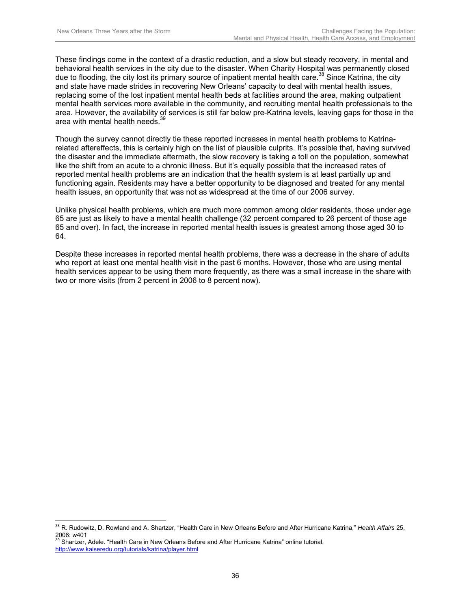These findings come in the context of a drastic reduction, and a slow but steady recovery, in mental and behavioral health services in the city due to the disaster. When Charity Hospital was permanently closed due to flooding, the city lost its primary source of inpatient mental health care.<sup>38</sup> Since Katrina, the city and state have made strides in recovering New Orleans' capacity to deal with mental health issues, replacing some of the lost inpatient mental health beds at facilities around the area, making outpatient mental health services more available in the community, and recruiting mental health professionals to the area. However, the availability of services is still far below pre-Katrina levels, leaving gaps for those in the area with mental health needs.<sup>39</sup>

Though the survey cannot directly tie these reported increases in mental health problems to Katrinarelated aftereffects, this is certainly high on the list of plausible culprits. It's possible that, having survived the disaster and the immediate aftermath, the slow recovery is taking a toll on the population, somewhat like the shift from an acute to a chronic illness. But it's equally possible that the increased rates of reported mental health problems are an indication that the health system is at least partially up and functioning again. Residents may have a better opportunity to be diagnosed and treated for any mental health issues, an opportunity that was not as widespread at the time of our 2006 survey.

Unlike physical health problems, which are much more common among older residents, those under age 65 are just as likely to have a mental health challenge (32 percent compared to 26 percent of those age 65 and over). In fact, the increase in reported mental health issues is greatest among those aged 30 to 64.

Despite these increases in reported mental health problems, there was a decrease in the share of adults who report at least one mental health visit in the past 6 months. However, those who are using mental health services appear to be using them more frequently, as there was a small increase in the share with two or more visits (from 2 percent in 2006 to 8 percent now).

 $\overline{a}$ 38 R. Rudowitz, D. Rowland and A. Shartzer, "Health Care in New Orleans Before and After Hurricane Katrina," *Health Affairs* 25, 2006: w401<br><sup>39</sup> Shartzer, Adele. "Health Care in New Orleans Before and After Hurricane Katrina" online tutorial.

http://www.kaiseredu.org/tutorials/katrina/player.html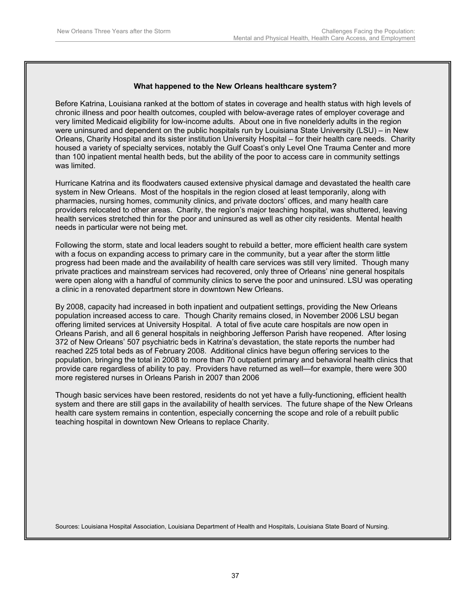#### **What happened to the New Orleans healthcare system?**

Before Katrina, Louisiana ranked at the bottom of states in coverage and health status with high levels of chronic illness and poor health outcomes, coupled with below-average rates of employer coverage and very limited Medicaid eligibility for low-income adults. About one in five nonelderly adults in the region were uninsured and dependent on the public hospitals run by Louisiana State University (LSU) – in New Orleans, Charity Hospital and its sister institution University Hospital – for their health care needs. Charity housed a variety of specialty services, notably the Gulf Coast's only Level One Trauma Center and more than 100 inpatient mental health beds, but the ability of the poor to access care in community settings was limited.

Hurricane Katrina and its floodwaters caused extensive physical damage and devastated the health care system in New Orleans. Most of the hospitals in the region closed at least temporarily, along with pharmacies, nursing homes, community clinics, and private doctors' offices, and many health care providers relocated to other areas. Charity, the region's major teaching hospital, was shuttered, leaving health services stretched thin for the poor and uninsured as well as other city residents. Mental health needs in particular were not being met.

Following the storm, state and local leaders sought to rebuild a better, more efficient health care system with a focus on expanding access to primary care in the community, but a year after the storm little progress had been made and the availability of health care services was still very limited. Though many private practices and mainstream services had recovered, only three of Orleans' nine general hospitals were open along with a handful of community clinics to serve the poor and uninsured. LSU was operating a clinic in a renovated department store in downtown New Orleans.

By 2008, capacity had increased in both inpatient and outpatient settings, providing the New Orleans population increased access to care. Though Charity remains closed, in November 2006 LSU began offering limited services at University Hospital. A total of five acute care hospitals are now open in Orleans Parish, and all 6 general hospitals in neighboring Jefferson Parish have reopened. After losing 372 of New Orleans' 507 psychiatric beds in Katrina's devastation, the state reports the number had reached 225 total beds as of February 2008. Additional clinics have begun offering services to the population, bringing the total in 2008 to more than 70 outpatient primary and behavioral health clinics that provide care regardless of ability to pay. Providers have returned as well—for example, there were 300 more registered nurses in Orleans Parish in 2007 than 2006

Though basic services have been restored, residents do not yet have a fully-functioning, efficient health system and there are still gaps in the availability of health services. The future shape of the New Orleans health care system remains in contention, especially concerning the scope and role of a rebuilt public teaching hospital in downtown New Orleans to replace Charity.

Sources: Louisiana Hospital Association, Louisiana Department of Health and Hospitals, Louisiana State Board of Nursing.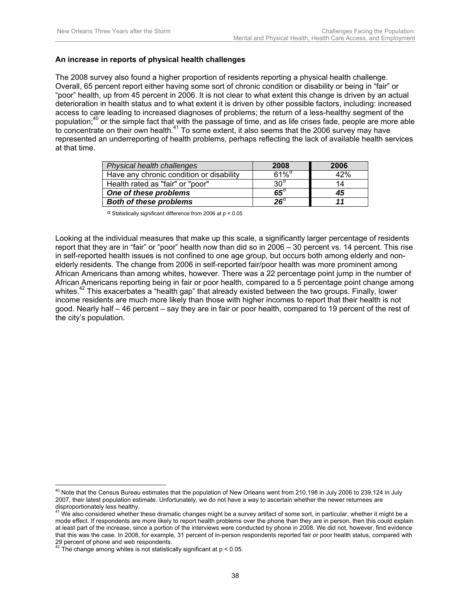#### **An increase in reports of physical health challenges**

The 2008 survey also found a higher proportion of residents reporting a physical health challenge. Overall, 65 percent report either having some sort of chronic condition or disability or being in "fair" or "poor" health, up from 45 percent in 2006. It is not clear to what extent this change is driven by an actual deterioration in health status and to what extent it is driven by other possible factors, including: increased access to care leading to increased diagnoses of problems; the return of a less-healthy segment of the population;40 or the simple fact that with the passage of time, and as life crises fade, people are more able to concentrate on their own health.41 To some extent, it also seems that the 2006 survey may have represented an underreporting of health problems, perhaps reflecting the lack of available health services at that time.

| Physical health challenges               | 2008                   | 2006 |
|------------------------------------------|------------------------|------|
| Have any chronic condition or disability | $61\%$ <sup>a</sup>    | 42%  |
| Health rated as "fair" or "poor"         | $30^\alpha$            | 14   |
| One of these problems                    | $65^{\circ}$           | 45   |
| <b>Both of these problems</b>            | $\mathbf{26}^{\alpha}$ |      |

 $\alpha$  Statistically significant difference from 2006 at p < 0.05

Looking at the individual measures that make up this scale, a significantly larger percentage of residents report that they are in "fair" or "poor" health now than did so in 2006 – 30 percent vs. 14 percent. This rise in self-reported health issues is not confined to one age group, but occurs both among elderly and nonelderly residents. The change from 2006 in self-reported fair/poor health was more prominent among African Americans than among whites, however. There was a 22 percentage point jump in the number of African Americans reporting being in fair or poor health, compared to a 5 percentage point change among whites.<sup>42</sup> This exacerbates a "health gap" that already existed between the two groups. Finally, lower income residents are much more likely than those with higher incomes to report that their health is not good. Nearly half – 46 percent – say they are in fair or poor health, compared to 19 percent of the rest of the city's population.

 $\overline{a}$  $40$  Note that the Census Bureau estimates that the population of New Orleans went from 210,198 in July 2006 to 239,124 in July 2007, their latest population estimate. Unfortunately, we do not have a way to ascertain whether the newer returnees are

disproportionately less healthy.<br><sup>41</sup> We also considered whether these dramatic changes might be a survey artifact of some sort, in particular, whether it might be a mode effect. If respondents are more likely to report health problems over the phone than they are in person, then this could explain at least part of the increase, since a portion of the interviews were conducted by phone in 2008. We did not, however, find evidence that this was the case. In 2008, for example, 31 percent of in-person respondents reported fair or poor health status, compared with 29 percent of phone and web respondents.<br><sup>42</sup> The change can

The change among whites is not statistically significant at  $p < 0.05$ .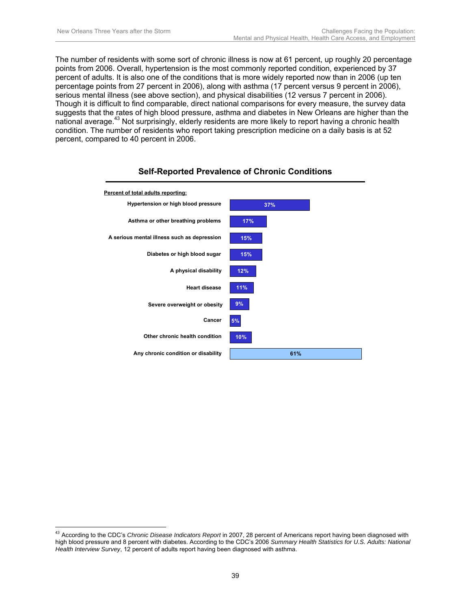The number of residents with some sort of chronic illness is now at 61 percent, up roughly 20 percentage points from 2006. Overall, hypertension is the most commonly reported condition, experienced by 37 percent of adults. It is also one of the conditions that is more widely reported now than in 2006 (up ten percentage points from 27 percent in 2006), along with asthma (17 percent versus 9 percent in 2006), serious mental illness (see above section), and physical disabilities (12 versus 7 percent in 2006). Though it is difficult to find comparable, direct national comparisons for every measure, the survey data suggests that the rates of high blood pressure, asthma and diabetes in New Orleans are higher than the national average.43 Not surprisingly, elderly residents are more likely to report having a chronic health condition. The number of residents who report taking prescription medicine on a daily basis is at 52 percent, compared to 40 percent in 2006.



## **Self-Reported Prevalence of Chronic Conditions**

 $\overline{a}$ <sup>43</sup> According to the CDC's *Chronic Disease Indicators Report* in 2007, 28 percent of Americans report having been diagnosed with high blood pressure and 8 percent with diabetes. According to the CDC's 2006 *Summary Health Statistics for U.S. Adults: National Health Interview Survey*, 12 percent of adults report having been diagnosed with asthma.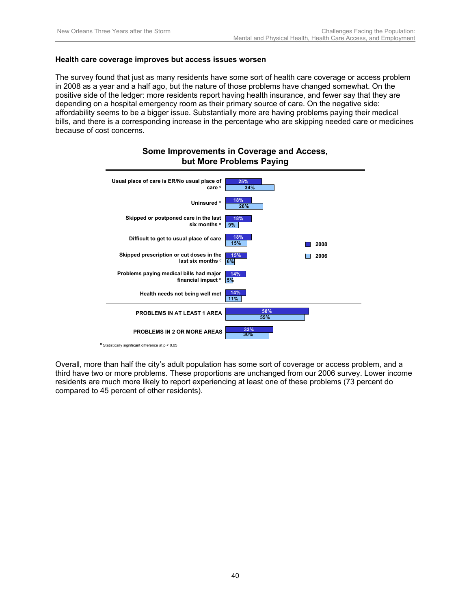#### **Health care coverage improves but access issues worsen**

The survey found that just as many residents have some sort of health care coverage or access problem in 2008 as a year and a half ago, but the nature of those problems have changed somewhat. On the positive side of the ledger: more residents report having health insurance, and fewer say that they are depending on a hospital emergency room as their primary source of care. On the negative side: affordability seems to be a bigger issue. Substantially more are having problems paying their medical bills, and there is a corresponding increase in the percentage who are skipping needed care or medicines because of cost concerns.



#### **Some Improvements in Coverage and Access, but More Problems Paying**

Overall, more than half the city's adult population has some sort of coverage or access problem, and a third have two or more problems. These proportions are unchanged from our 2006 survey. Lower income residents are much more likely to report experiencing at least one of these problems (73 percent do compared to 45 percent of other residents).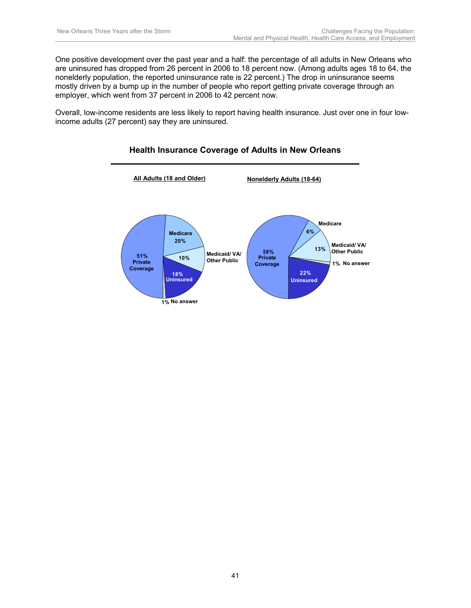One positive development over the past year and a half: the percentage of all adults in New Orleans who are uninsured has dropped from 26 percent in 2006 to 18 percent now. (Among adults ages 18 to 64, the nonelderly population, the reported uninsurance rate is 22 percent.) The drop in uninsurance seems mostly driven by a bump up in the number of people who report getting private coverage through an employer, which went from 37 percent in 2006 to 42 percent now.

Overall, low-income residents are less likely to report having health insurance. Just over one in four lowincome adults (27 percent) say they are uninsured.

#### **1% No answer 51% 18% Uninsured 20% 10% Medicare All Adults (18 and Older) Nonelderly Adults (18-64) Private Coverage Medicaid/ VA/ Other Public 13% 6% 1% No answer 58% 22% Uninsured Medicare Private Coverage Medicaid/ VA/ Other Public**

#### **Health Insurance Coverage of Adults in New Orleans**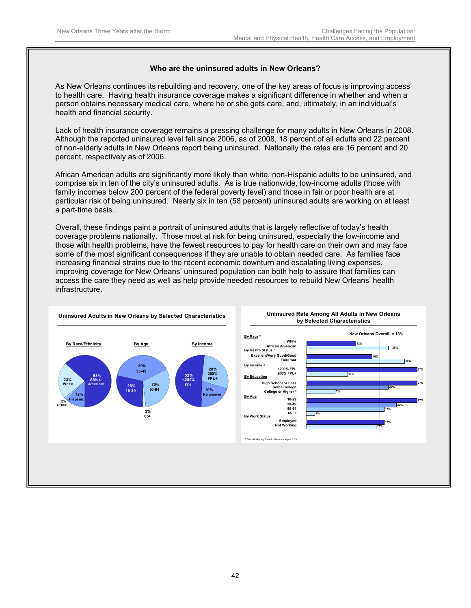#### **Who are the uninsured adults in New Orleans?**

As New Orleans continues its rebuilding and recovery, one of the key areas of focus is improving access to health care. Having health insurance coverage makes a significant difference in whether and when a person obtains necessary medical care, where he or she gets care, and, ultimately, in an individual's health and financial security.

Lack of health insurance coverage remains a pressing challenge for many adults in New Orleans in 2008. Although the reported uninsured level fell since 2006, as of 2008, 18 percent of all adults and 22 percent of non-elderly adults in New Orleans report being uninsured. Nationally the rates are 16 percent and 20 percent, respectively as of 2006.

African American adults are significantly more likely than white, non-Hispanic adults to be uninsured, and comprise six in ten of the city's uninsured adults. As is true nationwide, low-income adults (those with family incomes below 200 percent of the federal poverty level) and those in fair or poor health are at particular risk of being uninsured. Nearly six in ten (58 percent) uninsured adults are working on at least a part-time basis.

Overall, these findings paint a portrait of uninsured adults that is largely reflective of today's health coverage problems nationally. Those most at risk for being uninsured, especially the low-income and those with health problems, have the fewest resources to pay for health care on their own and may face some of the most significant consequences if they are unable to obtain needed care. As families face increasing financial strains due to the recent economic downturn and escalating living expenses, improving coverage for New Orleans' uninsured population can both help to assure that families can access the care they need as well as help provide needed resources to rebuild New Orleans' health infrastructure.

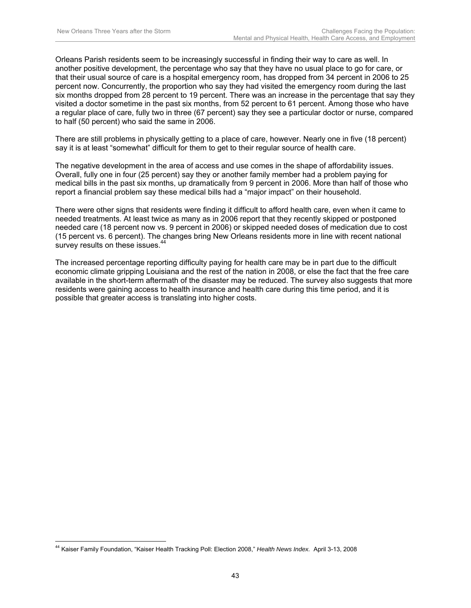Orleans Parish residents seem to be increasingly successful in finding their way to care as well. In another positive development, the percentage who say that they have no usual place to go for care, or that their usual source of care is a hospital emergency room, has dropped from 34 percent in 2006 to 25 percent now. Concurrently, the proportion who say they had visited the emergency room during the last six months dropped from 28 percent to 19 percent. There was an increase in the percentage that say they visited a doctor sometime in the past six months, from 52 percent to 61 percent. Among those who have a regular place of care, fully two in three (67 percent) say they see a particular doctor or nurse, compared to half (50 percent) who said the same in 2006.

There are still problems in physically getting to a place of care, however. Nearly one in five (18 percent) say it is at least "somewhat" difficult for them to get to their regular source of health care.

The negative development in the area of access and use comes in the shape of affordability issues. Overall, fully one in four (25 percent) say they or another family member had a problem paying for medical bills in the past six months, up dramatically from 9 percent in 2006. More than half of those who report a financial problem say these medical bills had a "major impact" on their household.

There were other signs that residents were finding it difficult to afford health care, even when it came to needed treatments. At least twice as many as in 2006 report that they recently skipped or postponed needed care (18 percent now vs. 9 percent in 2006) or skipped needed doses of medication due to cost (15 percent vs. 6 percent). The changes bring New Orleans residents more in line with recent national survey results on these issues.<sup>44</sup>

The increased percentage reporting difficulty paying for health care may be in part due to the difficult economic climate gripping Louisiana and the rest of the nation in 2008, or else the fact that the free care available in the short-term aftermath of the disaster may be reduced. The survey also suggests that more residents were gaining access to health insurance and health care during this time period, and it is possible that greater access is translating into higher costs.

 $\overline{a}$ 

<sup>44</sup> Kaiser Family Foundation, "Kaiser Health Tracking Poll: Election 2008," *Health News Index.* April 3-13, 2008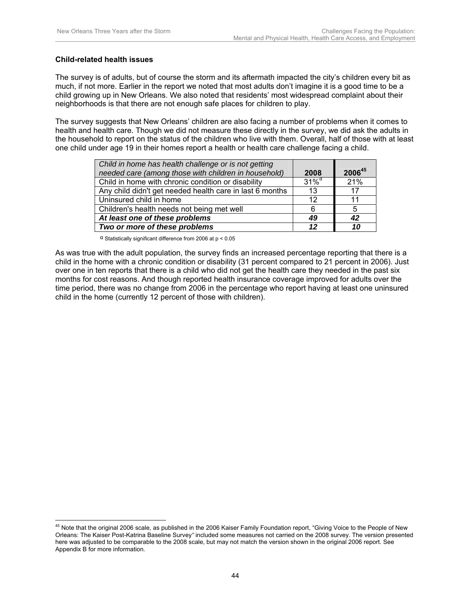#### **Child-related health issues**

 $\overline{a}$ 

The survey is of adults, but of course the storm and its aftermath impacted the city's children every bit as much, if not more. Earlier in the report we noted that most adults don't imagine it is a good time to be a child growing up in New Orleans. We also noted that residents' most widespread complaint about their neighborhoods is that there are not enough safe places for children to play.

The survey suggests that New Orleans' children are also facing a number of problems when it comes to health and health care. Though we did not measure these directly in the survey, we did ask the adults in the household to report on the status of the children who live with them. Overall, half of those with at least one child under age 19 in their homes report a health or health care challenge facing a child.

| Child in home has health challenge or is not getting     |                                       |        |
|----------------------------------------------------------|---------------------------------------|--------|
| needed care (among those with children in household)     | 2008                                  | 200645 |
| Child in home with chronic condition or disability       | $31\%$ <sup><math>\alpha</math></sup> | 21%    |
| Any child didn't get needed health care in last 6 months | 13                                    | 17     |
| Uninsured child in home                                  | 12                                    | 11     |
| Children's health needs not being met well               | 6                                     | 5      |
| At least one of these problems                           | 49                                    | 42     |
| Two or more of these problems                            | 12                                    | 10     |

α Statistically significant difference from 2006 at p < 0.05

As was true with the adult population, the survey finds an increased percentage reporting that there is a child in the home with a chronic condition or disability (31 percent compared to 21 percent in 2006). Just over one in ten reports that there is a child who did not get the health care they needed in the past six months for cost reasons. And though reported health insurance coverage improved for adults over the time period, there was no change from 2006 in the percentage who report having at least one uninsured child in the home (currently 12 percent of those with children).

 $^{45}$  Note that the original 2006 scale, as published in the 2006 Kaiser Family Foundation report, "Giving Voice to the People of New Orleans: The Kaiser Post-Katrina Baseline Survey*"* included some measures not carried on the 2008 survey. The version presented here was adjusted to be comparable to the 2008 scale, but may not match the version shown in the original 2006 report. See Appendix B for more information.